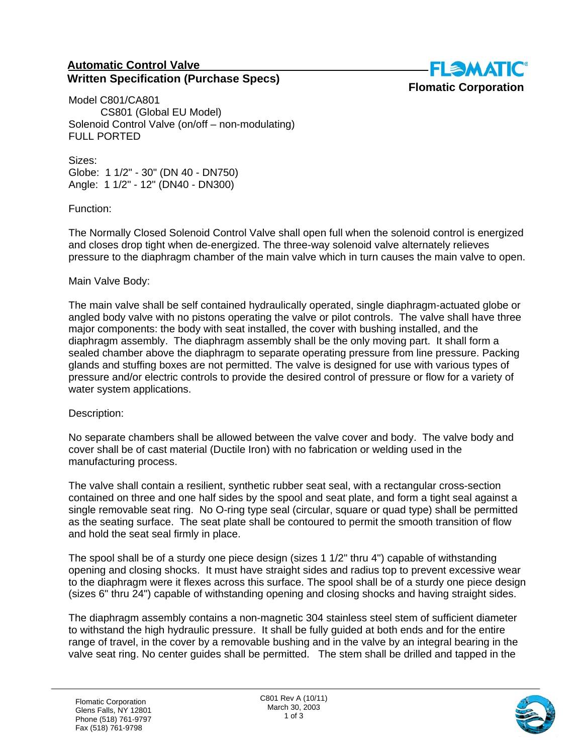## **Automatic Control Valve Written Specification (Purchase Specs)**



Model C801/CA801 CS801 (Global EU Model) Solenoid Control Valve (on/off – non-modulating) FULL PORTED

Sizes: Globe: 1 1/2" - 30" (DN 40 - DN750) Angle: 1 1/2" - 12" (DN40 - DN300)

Function:

The Normally Closed Solenoid Control Valve shall open full when the solenoid control is energized and closes drop tight when de-energized. The three-way solenoid valve alternately relieves pressure to the diaphragm chamber of the main valve which in turn causes the main valve to open.

## Main Valve Body:

The main valve shall be self contained hydraulically operated, single diaphragm-actuated globe or angled body valve with no pistons operating the valve or pilot controls. The valve shall have three major components: the body with seat installed, the cover with bushing installed, and the diaphragm assembly. The diaphragm assembly shall be the only moving part. It shall form a sealed chamber above the diaphragm to separate operating pressure from line pressure. Packing glands and stuffing boxes are not permitted. The valve is designed for use with various types of pressure and/or electric controls to provide the desired control of pressure or flow for a variety of water system applications.

## Description:

No separate chambers shall be allowed between the valve cover and body. The valve body and cover shall be of cast material (Ductile Iron) with no fabrication or welding used in the manufacturing process.

The valve shall contain a resilient, synthetic rubber seat seal, with a rectangular cross-section contained on three and one half sides by the spool and seat plate, and form a tight seal against a single removable seat ring. No O-ring type seal (circular, square or quad type) shall be permitted as the seating surface. The seat plate shall be contoured to permit the smooth transition of flow and hold the seat seal firmly in place.

The spool shall be of a sturdy one piece design (sizes 1 1/2" thru 4") capable of withstanding opening and closing shocks. It must have straight sides and radius top to prevent excessive wear to the diaphragm were it flexes across this surface. The spool shall be of a sturdy one piece design (sizes 6" thru 24") capable of withstanding opening and closing shocks and having straight sides.

The diaphragm assembly contains a non-magnetic 304 stainless steel stem of sufficient diameter to withstand the high hydraulic pressure. It shall be fully guided at both ends and for the entire range of travel, in the cover by a removable bushing and in the valve by an integral bearing in the valve seat ring. No center guides shall be permitted. The stem shall be drilled and tapped in the

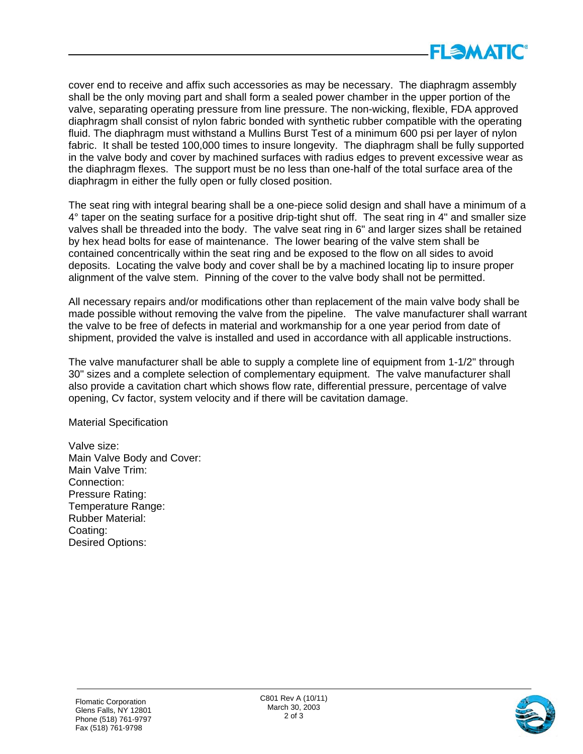

cover end to receive and affix such accessories as may be necessary. The diaphragm assembly shall be the only moving part and shall form a sealed power chamber in the upper portion of the valve, separating operating pressure from line pressure. The non-wicking, flexible, FDA approved diaphragm shall consist of nylon fabric bonded with synthetic rubber compatible with the operating fluid. The diaphragm must withstand a Mullins Burst Test of a minimum 600 psi per layer of nylon fabric. It shall be tested 100,000 times to insure longevity. The diaphragm shall be fully supported in the valve body and cover by machined surfaces with radius edges to prevent excessive wear as the diaphragm flexes. The support must be no less than one-half of the total surface area of the diaphragm in either the fully open or fully closed position.

The seat ring with integral bearing shall be a one-piece solid design and shall have a minimum of a 4° taper on the seating surface for a positive drip-tight shut off. The seat ring in 4" and smaller size valves shall be threaded into the body. The valve seat ring in 6" and larger sizes shall be retained by hex head bolts for ease of maintenance. The lower bearing of the valve stem shall be contained concentrically within the seat ring and be exposed to the flow on all sides to avoid deposits. Locating the valve body and cover shall be by a machined locating lip to insure proper alignment of the valve stem. Pinning of the cover to the valve body shall not be permitted.

All necessary repairs and/or modifications other than replacement of the main valve body shall be made possible without removing the valve from the pipeline. The valve manufacturer shall warrant the valve to be free of defects in material and workmanship for a one year period from date of shipment, provided the valve is installed and used in accordance with all applicable instructions.

The valve manufacturer shall be able to supply a complete line of equipment from 1-1/2" through 30" sizes and a complete selection of complementary equipment. The valve manufacturer shall also provide a cavitation chart which shows flow rate, differential pressure, percentage of valve opening, Cv factor, system velocity and if there will be cavitation damage.

Material Specification

Valve size: Main Valve Body and Cover: Main Valve Trim: Connection: Pressure Rating: Temperature Range: Rubber Material: Coating: Desired Options: